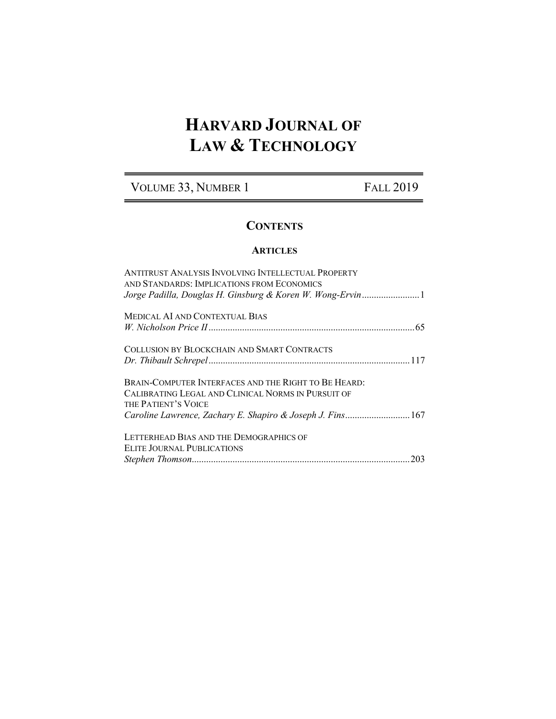# **HARVARD JOURNAL OF LAW & TECHNOLOGY**

# VOLUME 33, NUMBER 1 FALL 2019

# **CONTENTS**

### **ARTICLES**

| ANTITRUST ANALYSIS INVOLVING INTELLECTUAL PROPERTY<br>AND STANDARDS: IMPLICATIONS FROM ECONOMICS<br>Jorge Padilla, Douglas H. Ginsburg & Koren W. Wong-Ervin1                                   |
|-------------------------------------------------------------------------------------------------------------------------------------------------------------------------------------------------|
| <b>MEDICAL AI AND CONTEXTUAL BIAS</b>                                                                                                                                                           |
| COLLUSION BY BLOCKCHAIN AND SMART CONTRACTS                                                                                                                                                     |
| BRAIN-COMPUTER INTERFACES AND THE RIGHT TO BE HEARD:<br>CALIBRATING LEGAL AND CLINICAL NORMS IN PURSUIT OF<br>THE PATIENT'S VOICE<br>Caroline Lawrence, Zachary E. Shapiro & Joseph J. Fins 167 |
| LETTERHEAD BIAS AND THE DEMOGRAPHICS OF<br>ELITE JOURNAL PUBLICATIONS                                                                                                                           |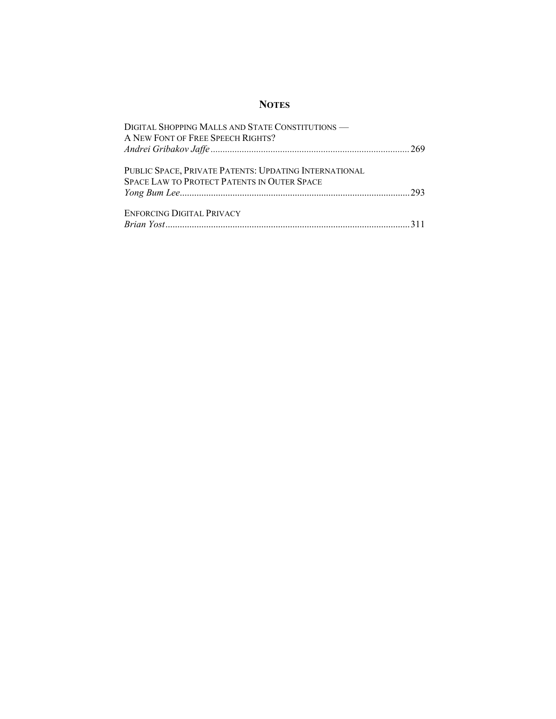## **NOTES**

| DIGITAL SHOPPING MALLS AND STATE CONSTITUTIONS -      |  |
|-------------------------------------------------------|--|
| A NEW FONT OF FREE SPEECH RIGHTS?                     |  |
|                                                       |  |
|                                                       |  |
| PUBLIC SPACE, PRIVATE PATENTS: UPDATING INTERNATIONAL |  |
| <b>SPACE LAW TO PROTECT PATENTS IN OUTER SPACE</b>    |  |
|                                                       |  |
|                                                       |  |
| ENFORCING DIGITAL PRIVACY                             |  |
|                                                       |  |
|                                                       |  |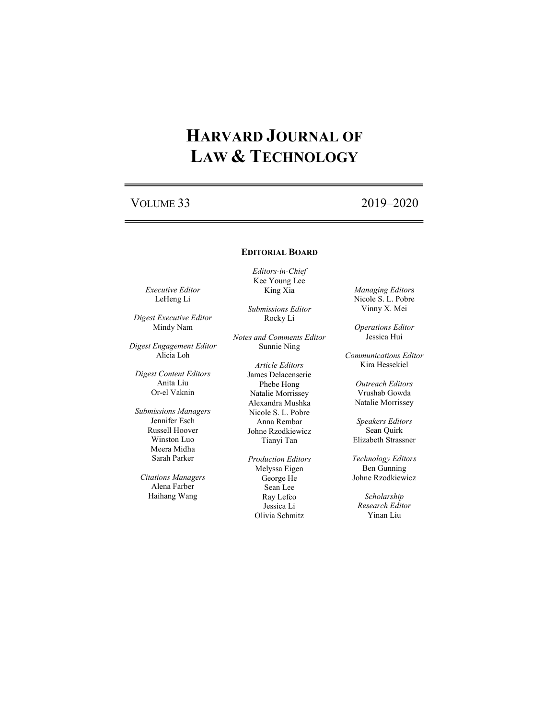# **HARVARD JOURNAL OF LAW & TECHNOLOGY**

# VOLUME 33 2019–2020

### **EDITORIAL BOARD**

*Editors-in-Chief* Kee Young Lee King Xia

> *Submissions Editor* Rocky Li

*Notes and Comments Editor* Sunnie Ning

> *Article Editors* James Delacenserie Phebe Hong Natalie Morrissey Alexandra Mushka Nicole S. L. Pobre Anna Rembar Johne Rzodkiewicz Tianyi Tan

*Production Editors* Melyssa Eigen George He Sean Lee Ray Lefco Jessica Li Olivia Schmitz

*Managing Editor*s Nicole S. L. Pobre Vinny X. Mei

*Operations Editor* Jessica Hui

*Communications Editor* Kira Hessekiel

> *Outreach Editors* Vrushab Gowda Natalie Morrissey

*Speakers Editors* Sean Quirk Elizabeth Strassner

*Technology Editors* Ben Gunning Johne Rzodkiewicz

*Scholarship Research Editor* Yinan Liu

*Executive Editor* LeHeng Li

*Digest Executive Editor* Mindy Nam

*Digest Engagement Editor* Alicia Loh

*Digest Content Editors* Anita Liu Or-el Vaknin

*Submissions Managers* Jennifer Esch Russell Hoover Winston Luo Meera Midha Sarah Parker

*Citations Managers* Alena Farber Haihang Wang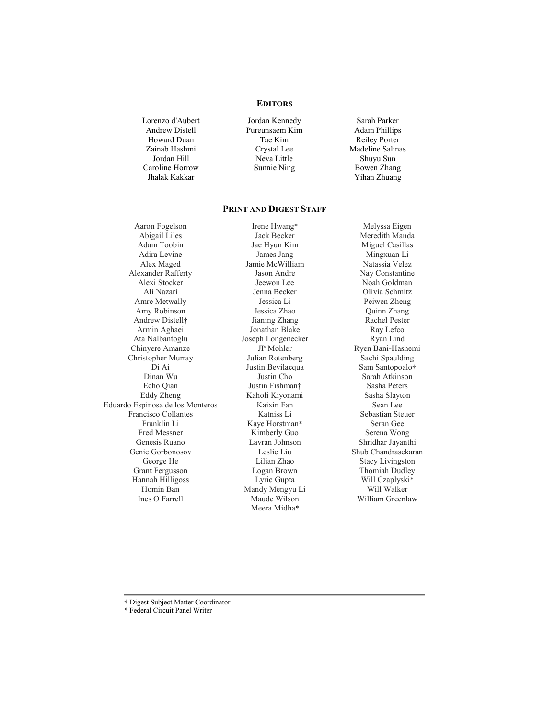### **EDITORS**

Lorenzo d'Aubert Andrew Distell Howard Duan Zainab Hashmi Jordan Hill Caroline Horrow Jhalak Kakkar

Jordan Kennedy Pureunsaem Kim Tae Kim Crystal Lee Neva Little Sunnie Ning

Sarah Parker Adam Phillips Reiley Porter Madeline Salinas Shuyu Sun Bowen Zhang Yihan Zhuang

### **PRINT AND DIGEST STAFF**

Aaron Fogelson Abigail Liles Adam Toobin Adira Levine Alex Maged Alexander Rafferty Alexi Stocker Ali Nazari Amre Metwally Amy Robinson Andrew Distell† Armin Aghaei Ata Nalbantoglu Chinyere Amanze Christopher Murray Di Ai Dinan Wu Echo Qian Eddy Zheng Eduardo Espinosa de los Monteros Francisco Collantes Franklin Li Fred Messner Genesis Ruano Genie Gorbonosov George He Grant Fergusson Hannah Hilligoss Homin Ban Ines O Farrell

Irene Hwang\* Jack Becker Jae Hyun Kim James Jang Jamie McWilliam Jason Andre Jeewon Lee Jenna Becker Jessica Li Jessica Zhao Jianing Zhang Jonathan Blake Joseph Longenecker JP Mohler Julian Rotenberg Justin Bevilacqua Justin Cho Justin Fishman† Kaholi Kiyonami Kaixin Fan Katniss Li Kaye Horstman\* Kimberly Guo Lavran Johnson Leslie Liu Lilian Zhao Logan Brown Lyric Gupta Mandy Mengyu Li Maude Wilson Meera Midha\*

Melyssa Eigen Meredith Manda Miguel Casillas Mingxuan Li Natassia Velez Nay Constantine Noah Goldman Olivia Schmitz Peiwen Zheng Quinn Zhang Rachel Pester Ray Lefco Ryan Lind Ryen Bani-Hashemi Sachi Spaulding Sam Santopoalo† Sarah Atkinson Sasha Peters Sasha Slayton Sean Lee Sebastian Steuer Seran Gee Serena Wong Shridhar Jayanthi Shub Chandrasekaran Stacy Livingston Thomiah Dudley Will Czaplyski\* Will Walker William Greenlaw

† Digest Subject Matter Coordinator

\* Federal Circuit Panel Writer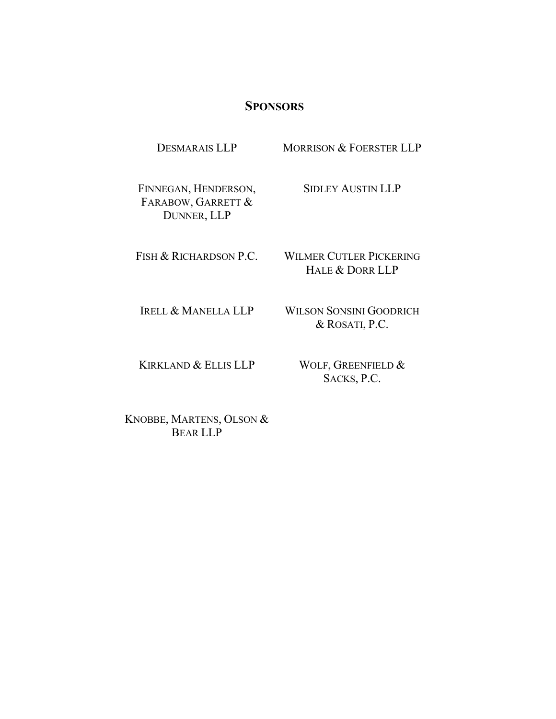## **SPONSORS**

DESMARAIS LLP MORRISON & FOERSTER LLP

FINNEGAN, HENDERSON, FARABOW, GARRETT & DUNNER, LLP

SIDLEY AUSTIN LLP

FISH & RICHARDSON P.C.

WILMER CUTLER PICKERING HALE & DORR LLP

IRELL & MANELLA LLP

WILSON SONSINI GOODRICH & ROSATI, P.C.

KIRKLAND & ELLIS LLP

WOLF, GREENFIELD & SACKS, P.C.

KNOBBE, MARTENS, OLSON & BEAR LLP